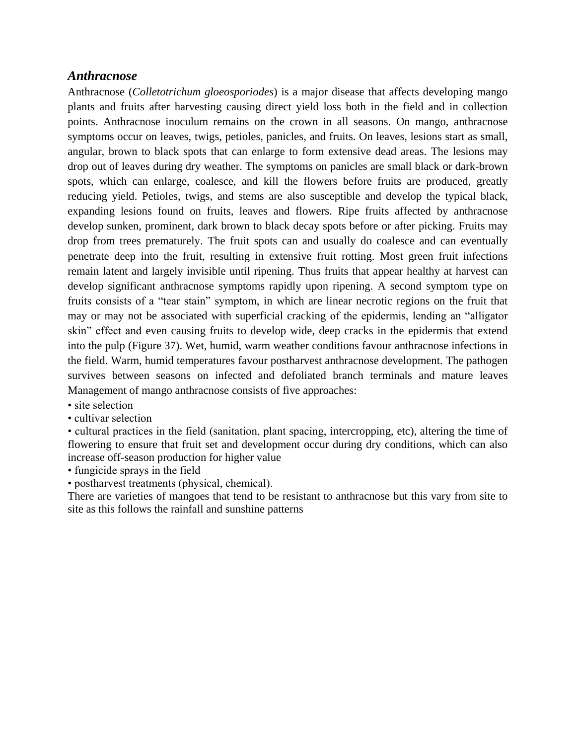## *Anthracnose*

Anthracnose (*Colletotrichum gloeosporiodes*) is a major disease that affects developing mango plants and fruits after harvesting causing direct yield loss both in the field and in collection points. Anthracnose inoculum remains on the crown in all seasons. On mango, anthracnose symptoms occur on leaves, twigs, petioles, panicles, and fruits. On leaves, lesions start as small, angular, brown to black spots that can enlarge to form extensive dead areas. The lesions may drop out of leaves during dry weather. The symptoms on panicles are small black or dark-brown spots, which can enlarge, coalesce, and kill the flowers before fruits are produced, greatly reducing yield. Petioles, twigs, and stems are also susceptible and develop the typical black, expanding lesions found on fruits, leaves and flowers. Ripe fruits affected by anthracnose develop sunken, prominent, dark brown to black decay spots before or after picking. Fruits may drop from trees prematurely. The fruit spots can and usually do coalesce and can eventually penetrate deep into the fruit, resulting in extensive fruit rotting. Most green fruit infections remain latent and largely invisible until ripening. Thus fruits that appear healthy at harvest can develop significant anthracnose symptoms rapidly upon ripening. A second symptom type on fruits consists of a "tear stain" symptom, in which are linear necrotic regions on the fruit that may or may not be associated with superficial cracking of the epidermis, lending an "alligator skin" effect and even causing fruits to develop wide, deep cracks in the epidermis that extend into the pulp (Figure 37). Wet, humid, warm weather conditions favour anthracnose infections in the field. Warm, humid temperatures favour postharvest anthracnose development. The pathogen survives between seasons on infected and defoliated branch terminals and mature leaves Management of mango anthracnose consists of five approaches:

- site selection
- cultivar selection

• cultural practices in the field (sanitation, plant spacing, intercropping, etc), altering the time of flowering to ensure that fruit set and development occur during dry conditions, which can also increase off-season production for higher value

• fungicide sprays in the field

• postharvest treatments (physical, chemical).

There are varieties of mangoes that tend to be resistant to anthracnose but this vary from site to site as this follows the rainfall and sunshine patterns